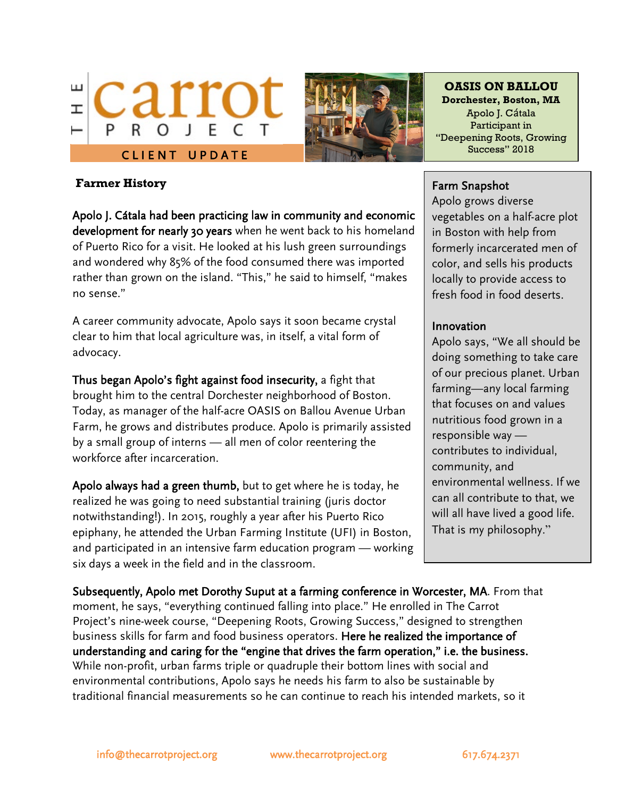



**OASIS ON BALLOU Dorchester, Boston, MA** Apolo J. Cátala Participant in "Deepening Roots, Growing

#### **Farmer History**

Apolo J. Cátala had been practicing law in community and economic development for nearly 30 years when he went back to his homeland of Puerto Rico for a visit. He looked at his lush green surroundings and wondered why 85% of the food consumed there was imported rather than grown on the island. "This," he said to himself, "makes no sense."

A career community advocate, Apolo says it soon became crystal clear to him that local agriculture was, in itself, a vital form of advocacy.

Thus began Apolo's fight against food insecurity, a fight that brought him to the central Dorchester neighborhood of Boston. Today, as manager of the half-acre OASIS on Ballou Avenue Urban Farm, he grows and distributes produce. Apolo is primarily assisted by a small group of interns — all men of color reentering the workforce after incarceration.

Apolo always had a green thumb, but to get where he is today, he realized he was going to need substantial training (juris doctor notwithstanding!). In 2015, roughly a year after his Puerto Rico epiphany, he attended the Urban Farming Institute (UFI) in Boston, and participated in an intensive farm education program — working six days a week in the field and in the classroom.

## Farm Snapshot

Apolo grows diverse vegetables on a half-acre plot in Boston with help from formerly incarcerated men of color, and sells his products locally to provide access to fresh food in food deserts.

## Innovation

Apolo says, "We all should be doing something to take care of our precious planet. Urban farming—any local farming that focuses on and values nutritious food grown in a responsible way contributes to individual, community, and environmental wellness. If we can all contribute to that, we will all have lived a good life. That is my philosophy."

Subsequently, Apolo met Dorothy Suput at a farming conference in Worcester, MA. From that moment, he says, "everything continued falling into place." He enrolled in The Carrot Project's nine-week course, "Deepening Roots, Growing Success," designed to strengthen business skills for farm and food business operators. Here he realized the importance of understanding and caring for the "engine that drives the farm operation," i.e. the business. While non-profit, urban farms triple or quadruple their bottom lines with social and environmental contributions, Apolo says he needs his farm to also be sustainable by traditional financial measurements so he can continue to reach his intended markets, so it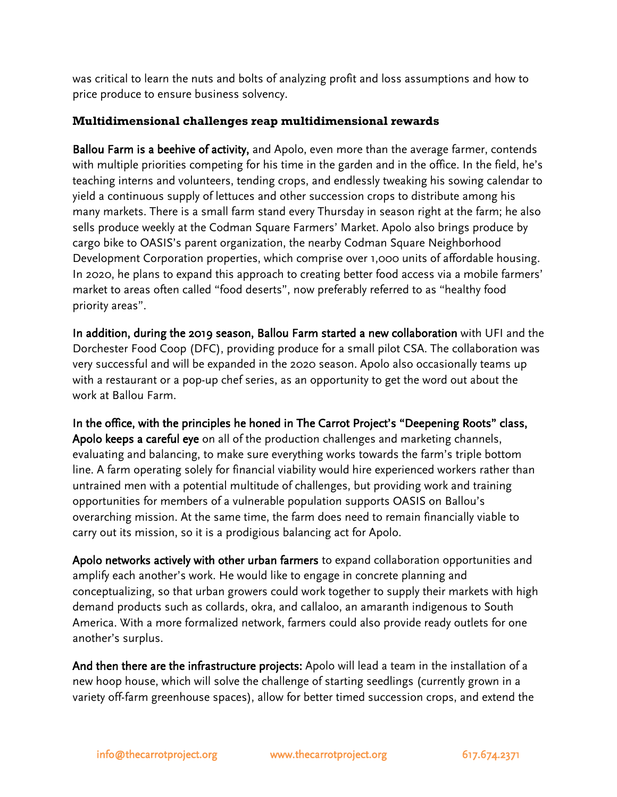was critical to learn the nuts and bolts of analyzing profit and loss assumptions and how to price produce to ensure business solvency.

## **Multidimensional challenges reap multidimensional rewards**

Ballou Farm is a beehive of activity, and Apolo, even more than the average farmer, contends with multiple priorities competing for his time in the garden and in the office. In the field, he's teaching interns and volunteers, tending crops, and endlessly tweaking his sowing calendar to yield a continuous supply of lettuces and other succession crops to distribute among his many markets. There is a small farm stand every Thursday in season right at the farm; he also sells produce weekly at the Codman Square Farmers' Market. Apolo also brings produce by cargo bike to OASIS's parent organization, the nearby Codman Square Neighborhood Development Corporation properties, which comprise over 1,000 units of affordable housing. In 2020, he plans to expand this approach to creating better food access via a mobile farmers' market to areas often called "food deserts", now preferably referred to as "healthy food priority areas".

In addition, during the 2019 season, Ballou Farm started a new collaboration with UFI and the Dorchester Food Coop (DFC), providing produce for a small pilot CSA. The collaboration was very successful and will be expanded in the 2020 season. Apolo also occasionally teams up with a restaurant or a pop-up chef series, as an opportunity to get the word out about the work at Ballou Farm.

In the office, with the principles he honed in The Carrot Project's "Deepening Roots" class, Apolo keeps a careful eye on all of the production challenges and marketing channels, evaluating and balancing, to make sure everything works towards the farm's triple bottom line. A farm operating solely for financial viability would hire experienced workers rather than untrained men with a potential multitude of challenges, but providing work and training opportunities for members of a vulnerable population supports OASIS on Ballou's overarching mission. At the same time, the farm does need to remain financially viable to carry out its mission, so it is a prodigious balancing act for Apolo.

Apolo networks actively with other urban farmers to expand collaboration opportunities and amplify each another's work. He would like to engage in concrete planning and conceptualizing, so that urban growers could work together to supply their markets with high demand products such as collards, okra, and callaloo, an amaranth indigenous to South America. With a more formalized network, farmers could also provide ready outlets for one another's surplus.

And then there are the infrastructure projects: Apolo will lead a team in the installation of a new hoop house, which will solve the challenge of starting seedlings (currently grown in a variety off-farm greenhouse spaces), allow for better timed succession crops, and extend the